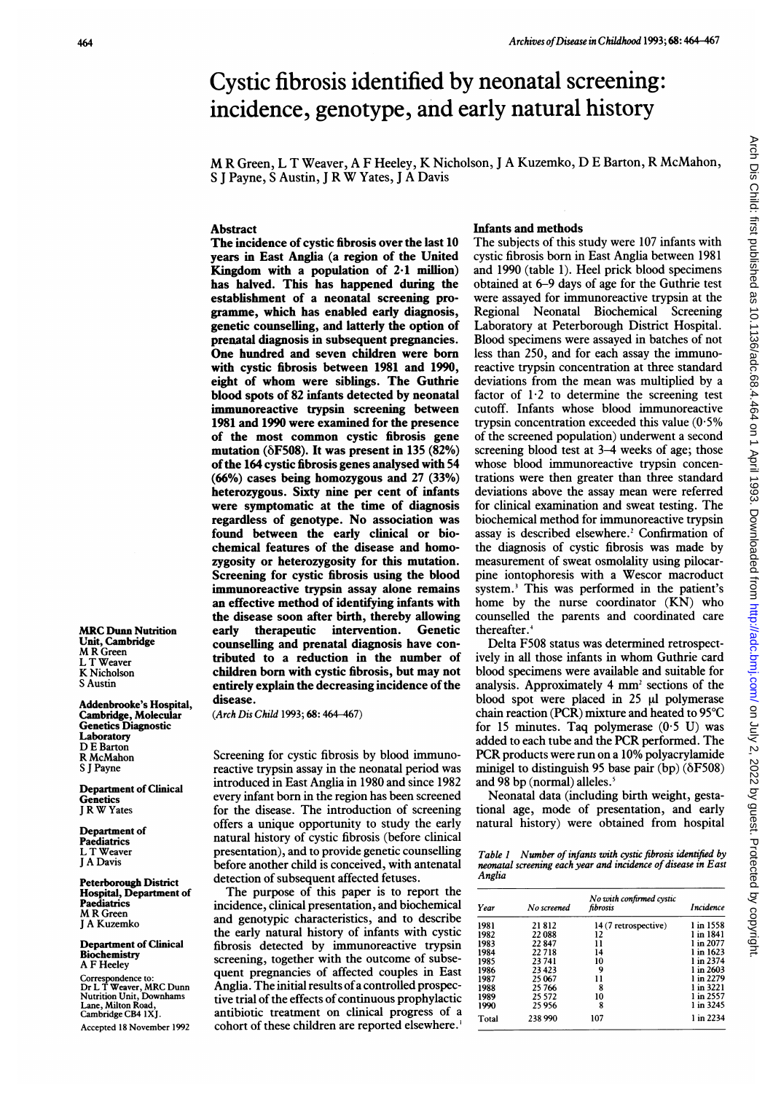# Cystic fibrosis identified by neonatal screening: incidence, genotype, and early natural history

M R Green, L T Weaver, A <sup>F</sup> Heeley, K Nicholson, <sup>J</sup> A Kuzemko, D <sup>E</sup> Barton, R McMahon, <sup>S</sup> <sup>J</sup> Payne, <sup>S</sup> Austin, <sup>J</sup> <sup>R</sup> W Yates, <sup>J</sup> <sup>A</sup> Davis

## Abstract

The incidence of cystic fibrosis over the last 10 years in East Anglia (a region of the United Kingdom with a population of  $2 \cdot 1$  million) has halved. This has happened during the establishment of a neonatal screening programme, which has enabled early diagnosis, genetic counselling, and latterly the option of prenatal diagnosis in subsequent pregnancies. One hundred and seven children were born with cystic fibrosis between 1981 and 1990, eight of whom were siblings. The Guthrie blood spots of 82 infants detected by neonatal immunoreactive trypsin screening between 1981 and 1990 were examined for the presence of the most common cystic fibrosis gene mutation ( $\delta$ F508). It was present in 135 (82%) ofthe 164 cystic fibrosis genes analysed with 54 (66%) cases being homozygous and 27 (33%) heterozygous. Sixty nine per cent of infants were symptomatic at the time of diagnosis regardless of genotype. No association was found between the early clinical or biochemical features of the disease and homozygosity or heterozygosity for this mutation. Screening for cystic fibrosis using the blood immunoreactive trypsin assay alone remains an effective method of identifying infants with the disease soon after birth, thereby allowing early therapeutic intervention. Genetic counselling and prenatal diagnosis have contributed to a reduction in the number of children born with cystic fibrosis, but may not entirely explain the decreasing incidence of the disease.

(Arch Dis Child 1993; 68: 464-467)

Screening for cystic fibrosis by blood immunoreactive trypsin assay in the neonatal period was introduced in East Anglia in 1980 and since 1982 every infant born in the region has been screened for the disease. The introduction of screening offers a unique opportunity to study the early natural history of cystic fibrosis (before clinical presentation), and to provide genetic counselling before another child is conceived, with antenatal detection of subsequent affected fetuses.

The purpose of this paper is to report the incidence, clinical presentation, and biochemical and genotypic characteristics, and to describe the early natural history of infants with cystic fibrosis detected by immunoreactive trypsin screening, together with the outcome of subsequent pregnancies of affected couples in East Anglia. The initial results of a controlled prospective trial of the effects of continuous prophylactic antibiotic treatment on clinical progress of a cohort of these children are reported elsewhere.'

### Infants and methods

The subjects of this study were 107 infants with cystic fibrosis born in East Anglia between 1981 and 1990 (table 1). Heel prick blood specimens obtained at 6-9 days of age for the Guthrie test were assayed for immunoreactive trypsin at the Regional Neonatal Biochemical Screening Laboratory at Peterborough District Hospital. Blood specimens were assayed in batches of not less than 250, and for each assay the immunoreactive trypsin concentration at three standard deviations from the mean was multiplied by a factor of  $1.2$  to determine the screening test cutoff. Infants whose blood immunoreactive trypsin concentration exceeded this value (0-5% of the screened population) underwent a second screening blood test at 3-4 weeks of age; those whose blood immunoreactive trypsin concentrations were then greater than three standard deviations above the assay mean were referred for clinical examination and sweat testing. The biochemical method for immunoreactive trypsin assay is described elsewhere.<sup>2</sup> Confirmation of the diagnosis of cystic fibrosis was made by measurement of sweat osmolality using pilocarpine iontophoresis with a Wescor macroduct system.3 This was performed in the patient's home by the nurse coordinator (KN) who counselled the parents and coordinated care thereafter.<sup>4</sup>

Delta F508 status was determined retrospectively in all those infants in whom Guthrie card blood specimens were available and suitable for analysis. Approximately 4 mm<sup>2</sup> sections of the blood spot were placed in  $25 \mu l$  polymerase chain reaction (PCR) mixture and heated to 95°C for 15 minutes. Taq polymerase  $(0.5 \text{ U})$  was added to each tube and the PCR performed. The PCR products were run on <sup>a</sup> 10% polyacrylamide minigel to distinguish 95 base pair  $(bp)$  ( $\delta$ F508) and 98 bp (normal) alleles.<sup>5</sup>

Neonatal data (including birth weight, gestational age, mode of presentation, and early natural history) were obtained from hospital

|        |  | Table 1 Number of infants with cystic fibrosis identified by  |  |
|--------|--|---------------------------------------------------------------|--|
|        |  | neonatal screening each year and incidence of disease in East |  |
| Anglia |  |                                                               |  |

| Year  | No screened | No with confirmed cystic<br>fibrosis | <i>Incidence</i> |
|-------|-------------|--------------------------------------|------------------|
| 1981  | 21812       | 14 (7 retrospective)                 | 1 in 1558        |
| 1982  | 22088       | 12                                   | 1 in 1841        |
| 1983  | 22847       | 11                                   | 1 in 2077        |
| 1984  | 22.718      | 14                                   | 1 in 1623        |
| 1985  | 23741       | 10                                   | 1 in 2374        |
| 1986  | 23423       | 9                                    | 1 in 2603        |
| 1987  | 25 067      | 11                                   | 1 in 2279        |
| 1988  | 25 766      | 8                                    | 1 in 3221        |
| 1989  | 25 5 72     | 10                                   | 1 in 2557        |
| 1990  | 25.956      | 8                                    | 1 in 3245        |
| Total | 238 990     | 107                                  | 1 in 2234        |

**MRC Dunn Nutrition** Unit, Cambridge M R Green L T Weaver K Nicholson S Austin

Addenbrooke's Hospital, Cambridge, Molecular Genetics Diagnostic Laboratory D E Barton R McMahon S J Payne

Department of Clinical **Genetics** <sup>J</sup> R W Yates

Department of Paediatrics L T Weaver <sup>J</sup> A Davis

Peterborough District Hospital, Department of Paediatrics M R Green <sup>J</sup> A Kuzemko

Department of Clinical **Biochemistry** A F Heeley

Correspondence to: Dr L T Weaver, MRC Dunn Nutrition Unit, Downhams Lane, Milton Road, Cambridge CB4 1X1

Accepted 18 November 1992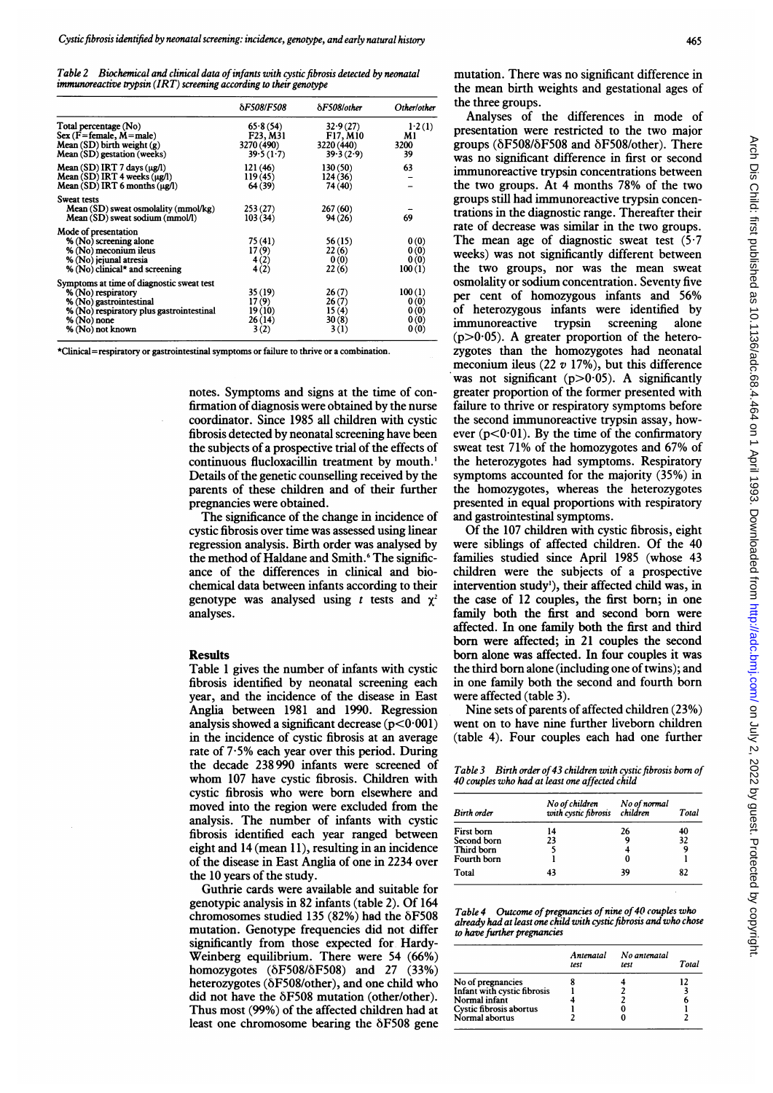Table 2 Biochemical and clinical data of infants with cystic fibrosis detected by neonatal  $immunoreactive$  trypsin  $(IRT)$  screening according to their genotype

|                                                                                                                                                                           | <b><i>SF508/F508</i></b>                        | $\delta$ F508/other                             | Other/other                            |
|---------------------------------------------------------------------------------------------------------------------------------------------------------------------------|-------------------------------------------------|-------------------------------------------------|----------------------------------------|
| Total percentage (No)<br>$Sex(F = female, M = male)$<br>$Mean(SD)$ birth weight $(g)$<br>Mean (SD) gestation (weeks)                                                      | 65.8(54)<br>F23, M31<br>3270 (490)<br>39.5(1.7) | 32.9(27)<br>F17, M10<br>3220 (440)<br>39.3(2.9) | 1.2(1)<br>M1<br>3200<br>39             |
| Mean $(SD)$ IRT 7 days $(\mu\mathbf{g}/\mathbf{l})$<br>$Mean(SD) IRT 4 weeks (\mu g/l)$<br>Mean $(SD)$ IRT 6 months $(\mu\mathbf{g}/l)$                                   | 121 (46)<br>119(45)<br>64 (39)                  | 130(50)<br>124(36)<br>74 (40)                   | 63                                     |
| Sweat tests<br>Mean (SD) sweat osmolality (mmol/kg)<br>Mean (SD) sweat sodium (mmol/l)                                                                                    | 253(27)<br>103(34)                              | 267(60)<br>94(26)                               | 69                                     |
| Mode of presentation<br>% (No) screening alone<br>% (No) meconium ileus<br>% (No) jejunal atresia<br>% (No) clinical* and screening                                       | 75 (41)<br>17(9)<br>4(2)<br>4(2)                | 56(15)<br>22(6)<br>0(0)<br>22(6)                | 0(0)<br>0(0)<br>0(0)<br>100(1)         |
| Symptoms at time of diagnostic sweat test<br>% (No) respiratory<br>% (No) gastrointestinal<br>% (No) respiratory plus gastrointestinal<br>% (No) none<br>% (No) not known | 35 (19)<br>17(9)<br>19(10)<br>26 (14)<br>3(2)   | 26(7)<br>26(7)<br>15(4)<br>30(8)<br>3(1)        | 100(1)<br>0(0)<br>0(0)<br>0(0)<br>0(0) |

\*Clinical=respiratory or gastrointestinal symptoms or failure to thrive or a combination.

notes. Symptoms and signs at the time of confirmation of diagnosis were obtained by the nurse coordinator. Since 1985 all children with cystic fibrosis detected by neonatal screening have been the subjects of a prospective trial of the effects of continuous flucloxacillin treatment by mouth.' Details of the genetic counselling received by the parents of these children and of their further pregnancies were obtained.

The significance of the change in incidence of cystic fibrosis over time was assessed using linear regression analysis. Birth order was analysed by the method of Haldane and Smith.<sup>6</sup> The significance of the differences in clinical and biochemical data between infants according to their genotype was analysed using t tests and  $\chi^2$ analyses.

#### Results

Table <sup>1</sup> gives the number of infants with cystic fibrosis identified by neonatal screening each year, and the incidence of the disease in East Anglia between 1981 and 1990. Regression analysis showed a significant decrease  $(p<0.001)$ in the incidence of cystic fibrosis at an average rate of 7-5% each year over this period. During the decade 238 990 infants were screened of whom 107 have cystic fibrosis. Children with cystic fibrosis who were born elsewhere and moved into the region were excluded from the analysis. The number of infants with cystic fibrosis identified each year ranged between eight and 14 (mean 11), resulting in an incidence of the disease in East Anglia of one in 2234 over the 10 years of the study.

Guthrie cards were available and suitable for genotypic analysis in 82 infants (table 2). Of 164 chromosomes studied 135 (82%) had the  $\delta$ F508 mutation. Genotype frequencies did not differ significantly from those expected for Hardy-Weinberg equilibrium. There were 54 (66%) homozygotes  $(\delta F508/\delta F508)$  and 27 (33%) heterozygotes (6F508/other), and one child who did not have the  $\delta$ F508 mutation (other/other). Thus most (99%) of the affected children had at least one chromosome bearing the  $\delta$ F508 gene mutation. There was no significant difference in the mean birth weights and gestational ages of the three groups.

Analyses of the differences in mode of presentation were restricted to the two major groups ( $\delta$ F508/ $\delta$ F508 and  $\delta$ F508/other). There was no significant difference in first or second immunoreactive trypsin concentrations between the two groups. At 4 months 78% of the two groups still had immunoreactive trypsin concentrations in the diagnostic range. Thereafter their rate of decrease was similar in the two groups. The mean age of diagnostic sweat test  $(5.7)$ weeks) was not significantly different between the two groups, nor was the mean sweat osmolality or sodium concentration. Seventy five per cent of homozygous infants and 56% of heterozygous infants were identified by immunoreactive trypsin screening alone  $(p>0.05)$ . A greater proportion of the heterozygotes than the homozygotes had neonatal meconium ileus (22  $v$  17%), but this difference was not significant ( $p>0.05$ ). A significantly greater proportion of the former presented with failure to thrive or respiratory symptoms before the second immunoreactive trypsin assay, however  $(p<0.01)$ . By the time of the confirmatory sweat test 71% of the homozygotes and 67% of the heterozygotes had symptoms. Respiratory symptoms accounted for the majority (35%) in the homozygotes, whereas the heterozygotes presented in equal proportions with respiratory and gastrointestinal symptoms.

Of the 107 children with cystic fibrosis, eight were siblings of affected children. Of the 40 families studied since April 1985 (whose 43 children were the subjects of a prospective intervention study'), their affected child was, in the case of 12 couples, the first born; in one family both the first and second born were affected. In one family both the first and third born were affected; in 21 couples the second born alone was affected. In four couples it was the third born alone (including one of twins); and in one family both the second and fourth born were affected (table 3).

Nine sets of parents of affected children (23%) went on to have nine further liveborn children (table 4). Four couples each had one further

Table 3 Birth order of 43 children with cystic fibrosis born of 40 couples who had at least one affected child

| <b>Birth</b> order | No of children<br>with cystic fibrosis children | No of normal | Total |
|--------------------|-------------------------------------------------|--------------|-------|
| First born         | 14                                              | 26           | 40    |
| Second born        | 23                                              |              | 32    |
| Third born         |                                                 |              | 9     |
| Fourth born        |                                                 |              |       |
| Total              | 43                                              | 39           | 82    |

Table 4 Outcome of pregnancies of nine of 40 couples who already had at least one child with cystic fibrosis and who chose to have further pregnancies

|                             | Antenatal<br>test | No antenatal<br>test | Total |
|-----------------------------|-------------------|----------------------|-------|
| No of pregnancies           |                   |                      | 17    |
| Infant with cystic fibrosis |                   |                      |       |
| Normal infant               |                   |                      |       |
| Cystic fibrosis abortus     |                   |                      |       |
| Normal abortus              |                   |                      |       |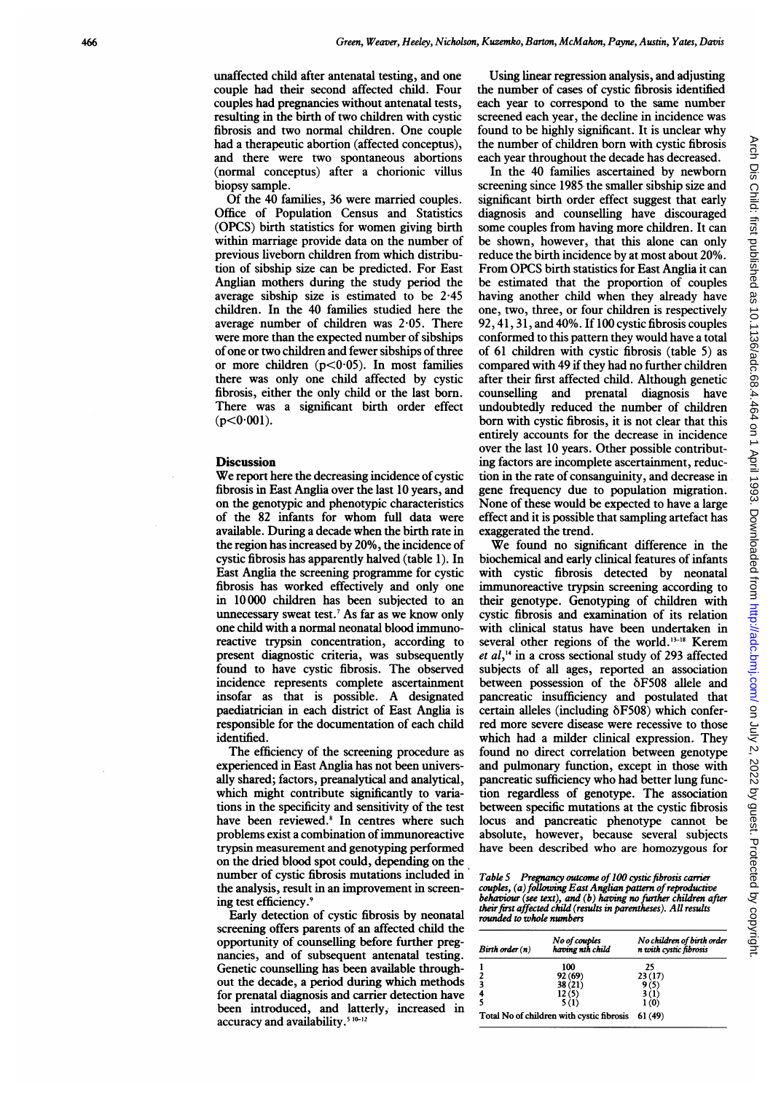unaffected child after antenatal testing, and one couple had their second affected child. Four couples had pregnancies without antenatal tests, resulting in the birth of two children with cystic fibrosis and two normal children. One couple had a therapeutic abortion (affected conceptus), and there were two spontaneous abortions (normal conceptus) after a chorionic villus biopsy sample.

Of the 40 families, 36 were married couples. Office of Population Census and Statistics (OPCS) birth statistics for women giving birth within marriage provide data on the number of previous liveborn children from which distribution of sibship size can be predicted. For East Anglian mothers during the study period the average sibship size is estimated to be 2-45 children. In the 40 families studied here the average number of children was 2 05. There were more than the expected number of sibships of one or two children and fewer sibships of three or more children  $(p<0.05)$ . In most families there was only one child affected by cystic fibrosis, either the only child or the last born. There was a significant birth order effect  $(p<0.001)$ .

### **Discussion**

We report here the decreasing incidence of cystic fibrosis in East Anglia over the last 10 years, and on the genotypic and phenotypic characteristics of the 82 infants for whom full data were available. During a decade when the birth rate in the region has increased by 20%, the incidence of cystic fibrosis has apparently halved (table 1). In East Anglia the screening programme for cystic fibrosis has worked effectively and only one in 10 000 children has been subjected to an unnecessary sweat test.7 As far as we know only one child with a normal neonatal blood immunoreactive trypsin concentration, according to present diagnostic criteria, was subsequently found to have cystic fibrosis. The observed incidence represents complete ascertainment insofar as that is possible. A designated paediatrician in each district of East Anglia is responsible for the documentation of each child identified.

The efficiency of the screening procedure as experienced in East Anglia has not been universally shared; factors, preanalytical and analytical, which might contribute significantly to variations in the specificity and sensitivity of the test have been reviewed.<sup>8</sup> In centres where such problems exist a combination of immunoreactive trypsin measurement and genotyping performed on the dried blood spot could, depending on the number of cystic fibrosis mutations included in the analysis, result in an improvement in screening test efficiency.9

Early detection of cystic fibrosis by neonatal screening offers parents of an affected child the opportunity of counselling before further pregnancies, and of subsequent antenatal testing. Genetic counselling has been available throughout the decade, a period during which methods for prenatal diagnosis and carrier detection have been introduced, and latterly, increased in accuracy and availability.<sup>5 10-12</sup>

Using linear regression analysis, and adjusting the number of cases of cystic fibrosis identified each year to correspond to the same number screened each year, the decline in incidence was found to be highly significant. It is unclear why the number of children born with cystic fibrosis each year throughout the decade has decreased.

In the 40 families ascertained by newborn screening since 1985 the smaller sibship size and significant birth order effect suggest that early diagnosis and counselling have discouraged some couples from having more children. It can be shown, however, that this alone can only reduce the birth incidence by at most about 20%. From OPCS birth statistics for East Anglia it can be estimated that the proportion of couples having another child when they already have one, two, three, or four children is respectively 92, 41, 31, and 40%. If 100 cystic fibrosis couples conformed to this pattern they would have a total of 61 children with cystic fibrosis (table 5) as compared with 49 if they had no further children after their first affected child. Although genetic counselling and prenatal diagnosis have undoubtedly reduced the number of children born with cystic fibrosis, it is not clear that this entirely accounts for the decrease in incidence over the last 10 years. Other possible contributing factors are incomplete ascertainment, reduction in the rate of consanguinity, and decrease in gene frequency due to population migration. None of these would be expected to have a large effect and it is possible that sampling artefact has exaggerated the trend.

We found no significant difference in the biochemical and early clinical features of infants with cystic fibrosis detected by neonatal immunoreactive trypsin screening according to their genotype. Genotyping of children with cystic fibrosis and examination of its relation with clinical status have been undertaken in several other regions of the world. $13-18$  Kerem et  $al$ ,<sup>14</sup> in a cross sectional study of 293 affected subjects of all ages, reported an association between possession of the  $\delta$ F508 allele and pancreatic insufficiency and postulated that certain alleles (including  $\delta$ F508) which conferred more severe disease were recessive to those which had a milder clinical expression. They found no direct correlation between genotype and pulmonary function, except in those with pancreatic sufficiency who had better lung function regardless of genotype. The association between specific mutations at the cystic fibrosis locus and pancreatic phenotype cannot be absolute, however, because several subjects have been described who are homozygous for

Table 5 Pregnancy outcome of 100 cystic fibrosis carrier couples, (a) following East Anglian pattern of reproductive behaviour (see text), and (b) having no further children after theirfirst affected child (results in parentheses). All results rounded to whole nwnbers

| $Birth$ order $(n)$                       | No of couples<br>having nth child | No children of birth order<br>n with cystic fibrosis |
|-------------------------------------------|-----------------------------------|------------------------------------------------------|
|                                           | 100                               | 25                                                   |
| 2                                         | 92 (69)                           | 23(17)                                               |
| 3                                         | 38(21)                            | 9 (5)                                                |
|                                           | 12(5)                             | 3 (1)                                                |
|                                           | 5(1)                              | 1(0)                                                 |
| Total No of children with cystic fibrosis |                                   | 61 (49)                                              |